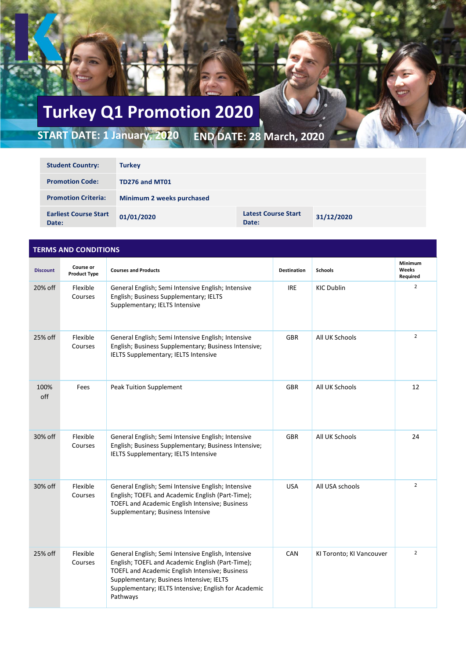## **Turkey Q1 Promotion 2020**

**START DATE: 1 January, 2020 END DATE: 28 March, 2020**

| <b>Student Country:</b>               | <b>Turkey</b>             |                                     |            |  |
|---------------------------------------|---------------------------|-------------------------------------|------------|--|
| <b>Promotion Code:</b>                | TD276 and MT01            |                                     |            |  |
| <b>Promotion Criteria:</b>            | Minimum 2 weeks purchased |                                     |            |  |
| <b>Earliest Course Start</b><br>Date: | 01/01/2020                | <b>Latest Course Start</b><br>Date: | 31/12/2020 |  |

| <b>TERMS AND CONDITIONS</b> |                                  |                                                                                                                                                                                                                                                                          |                    |                          |                              |  |  |
|-----------------------------|----------------------------------|--------------------------------------------------------------------------------------------------------------------------------------------------------------------------------------------------------------------------------------------------------------------------|--------------------|--------------------------|------------------------------|--|--|
| <b>Discount</b>             | Course or<br><b>Product Type</b> | <b>Courses and Products</b>                                                                                                                                                                                                                                              | <b>Destination</b> | <b>Schools</b>           | Minimum<br>Weeks<br>Required |  |  |
| 20% off                     | Flexible<br>Courses              | General English; Semi Intensive English; Intensive<br>English; Business Supplementary; IELTS<br>Supplementary; IELTS Intensive                                                                                                                                           | <b>IRE</b>         | <b>KIC Dublin</b>        | $\overline{2}$               |  |  |
| 25% off                     | Flexible<br>Courses              | General English; Semi Intensive English; Intensive<br>English; Business Supplementary; Business Intensive;<br>IELTS Supplementary; IELTS Intensive                                                                                                                       | <b>GBR</b>         | All UK Schools           | $\overline{2}$               |  |  |
| 100%<br>off                 | Fees                             | <b>Peak Tuition Supplement</b>                                                                                                                                                                                                                                           | <b>GBR</b>         | All UK Schools           | 12                           |  |  |
| 30% off                     | Flexible<br>Courses              | General English; Semi Intensive English; Intensive<br>English; Business Supplementary; Business Intensive;<br>IELTS Supplementary; IELTS Intensive                                                                                                                       | <b>GBR</b>         | All UK Schools           | 24                           |  |  |
| 30% off                     | Flexible<br>Courses              | General English; Semi Intensive English; Intensive<br>English; TOEFL and Academic English (Part-Time);<br>TOEFL and Academic English Intensive; Business<br>Supplementary; Business Intensive                                                                            | <b>USA</b>         | All USA schools          | $\overline{2}$               |  |  |
| 25% off                     | Flexible<br>Courses              | General English; Semi Intensive English, Intensive<br>English; TOEFL and Academic English (Part-Time);<br>TOEFL and Academic English Intensive; Business<br>Supplementary; Business Intensive; IELTS<br>Supplementary; IELTS Intensive; English for Academic<br>Pathways | CAN                | KI Toronto; KI Vancouver | $\overline{2}$               |  |  |